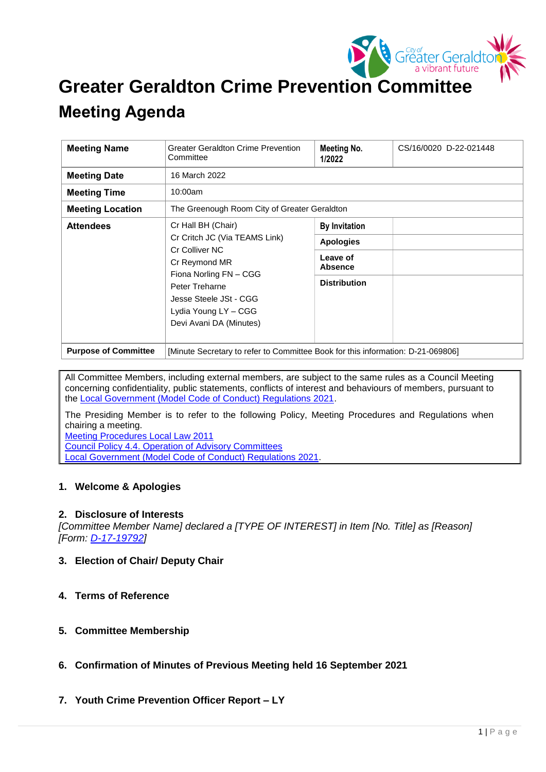

## **Greater Geraldton Crime Prevention Committee**

# **Meeting Agenda**

| <b>Meeting Name</b>         | <b>Greater Geraldton Crime Prevention</b><br>Committee                                                                                                                                                          | Meeting No.<br>1/2022      | CS/16/0020 D-22-021448 |
|-----------------------------|-----------------------------------------------------------------------------------------------------------------------------------------------------------------------------------------------------------------|----------------------------|------------------------|
| <b>Meeting Date</b>         | 16 March 2022                                                                                                                                                                                                   |                            |                        |
| <b>Meeting Time</b>         | 10:00am                                                                                                                                                                                                         |                            |                        |
| <b>Meeting Location</b>     | The Greenough Room City of Greater Geraldton                                                                                                                                                                    |                            |                        |
| <b>Attendees</b>            | Cr Hall BH (Chair)<br>Cr Critch JC (Via TEAMS Link)<br>Cr Colliver NC<br>Cr Reymond MR<br>Fiona Norling FN - CGG<br>Peter Treharne<br>Jesse Steele JSt - CGG<br>Lydia Young LY - CGG<br>Devi Avani DA (Minutes) | <b>By Invitation</b>       |                        |
|                             |                                                                                                                                                                                                                 | <b>Apologies</b>           |                        |
|                             |                                                                                                                                                                                                                 | Leave of<br><b>Absence</b> |                        |
|                             |                                                                                                                                                                                                                 | <b>Distribution</b>        |                        |
| <b>Purpose of Committee</b> | [Minute Secretary to refer to Committee Book for this information: D-21-069806]                                                                                                                                 |                            |                        |

All Committee Members, including external members, are subject to the same rules as a Council Meeting concerning confidentiality, public statements, conflicts of interest and behaviours of members, pursuant to the [Local Government \(Model Code of Conduct\) Regulations 2021.](https://www.legislation.wa.gov.au/legislation/statutes.nsf/law_s52479.html)

The Presiding Member is to refer to the following Policy, Meeting Procedures and Regulations when chairing a meeting.

[Meeting Procedures Local Law 2011](https://www.cgg.wa.gov.au/Profiles/cgg/Assets/ClientData/Local_Laws/Meeting_Procedures_Local_Law_2011_-_Consolidated_-_Website.pdf) [Council Policy 4.4. Operation of Advisory Committees](https://www.cgg.wa.gov.au/Profiles/cgg/Assets/ClientData/Council_Policy/4_4_-_Operation_of_Advisory_Committees_-_Version_3_-_15_November_2021.pdf) [Local Government \(Model Code of Conduct\) Regulations 2021.](https://www.legislation.wa.gov.au/legislation/statutes.nsf/law_s52479.html)

#### **1. Welcome & Apologies**

#### **2. Disclosure of Interests**

*[Committee Member Name] declared a [TYPE OF INTEREST] in Item [No. Title] as [Reason] [Form: [D-17-19792\]](http://laudine/hprmwebclientclassic/download?uri=879167&t=record&lang=ln_english&mbd=false)* 

- **3. Election of Chair/ Deputy Chair**
- **4. Terms of Reference**
- **5. Committee Membership**
- **6. Confirmation of Minutes of Previous Meeting held 16 September 2021**
- **7. Youth Crime Prevention Officer Report – LY**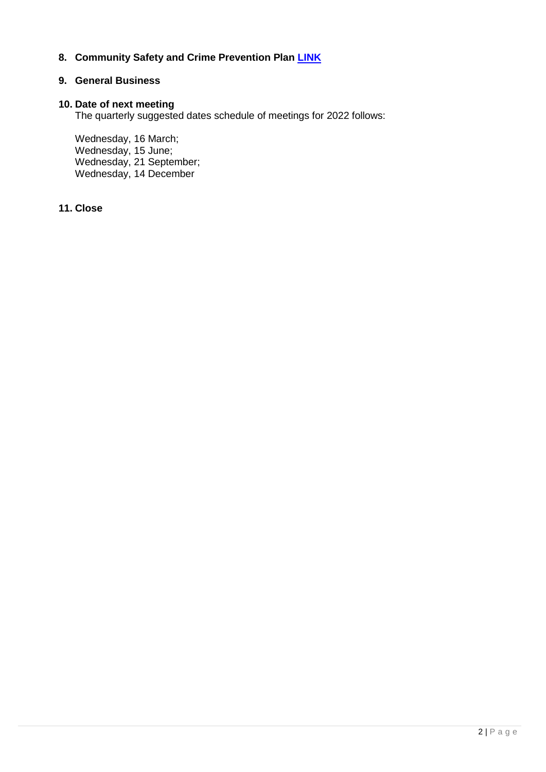## **8. Community Safety and Crime Prevention Plan [LINK](https://www.cgg.wa.gov.au/documents/761/community-safety-and-crime-prevention-plan)**

#### **9. General Business**

#### **10. Date of next meeting**

The quarterly suggested dates schedule of meetings for 2022 follows:

Wednesday, 16 March; Wednesday, 15 June; Wednesday, 21 September; Wednesday, 14 December

### **11. Close**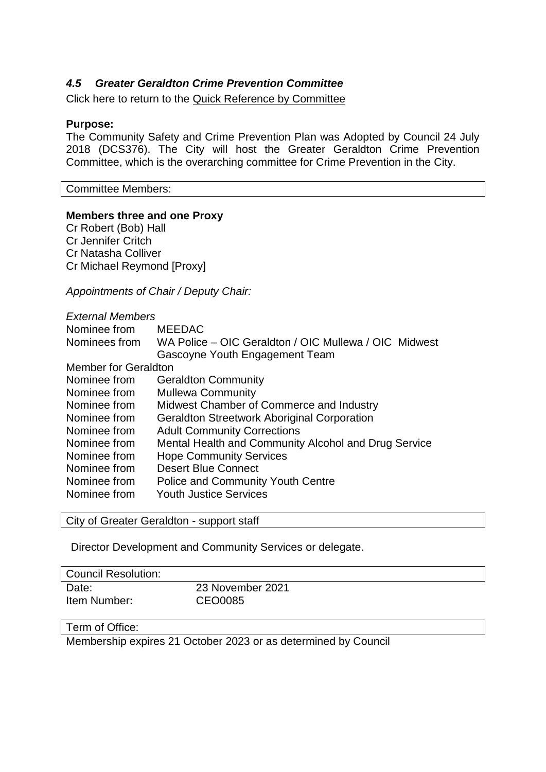## *4.5 Greater Geraldton Crime Prevention Committee*

Click here to return to the Quick Reference by Committee

#### **Purpose:**

The Community Safety and Crime Prevention Plan was Adopted by Council 24 July 2018 (DCS376). The City will host the Greater Geraldton Crime Prevention Committee, which is the overarching committee for Crime Prevention in the City.

Committee Members:

#### **Members three and one Proxy**

Cr Robert (Bob) Hall Cr Jennifer Critch Cr Natasha Colliver Cr Michael Reymond [Proxy]

*Appointments of Chair / Deputy Chair:* 

| <b>External Members</b>     |                                                       |  |  |  |
|-----------------------------|-------------------------------------------------------|--|--|--|
| Nominee from                | <b>MEEDAC</b>                                         |  |  |  |
| Nominees from               | WA Police – OIC Geraldton / OIC Mullewa / OIC Midwest |  |  |  |
|                             | Gascoyne Youth Engagement Team                        |  |  |  |
| <b>Member for Geraldton</b> |                                                       |  |  |  |
| Nominee from                | <b>Geraldton Community</b>                            |  |  |  |
| Nominee from                | <b>Mullewa Community</b>                              |  |  |  |
| Nominee from                | Midwest Chamber of Commerce and Industry              |  |  |  |
| Nominee from                | <b>Geraldton Streetwork Aboriginal Corporation</b>    |  |  |  |
| Nominee from                | <b>Adult Community Corrections</b>                    |  |  |  |
| Nominee from                | Mental Health and Community Alcohol and Drug Service  |  |  |  |
| Nominee from                | <b>Hope Community Services</b>                        |  |  |  |
| Nominee from                | <b>Desert Blue Connect</b>                            |  |  |  |
| Nominee from                | <b>Police and Community Youth Centre</b>              |  |  |  |
| Nominee from                | <b>Youth Justice Services</b>                         |  |  |  |

City of Greater Geraldton - support staff

Director Development and Community Services or delegate.

| Council Resolution: |                  |
|---------------------|------------------|
| Date:               | 23 November 2021 |
| Item Number:        | CEO0085          |

## Term of Office:

Membership expires 21 October 2023 or as determined by Council